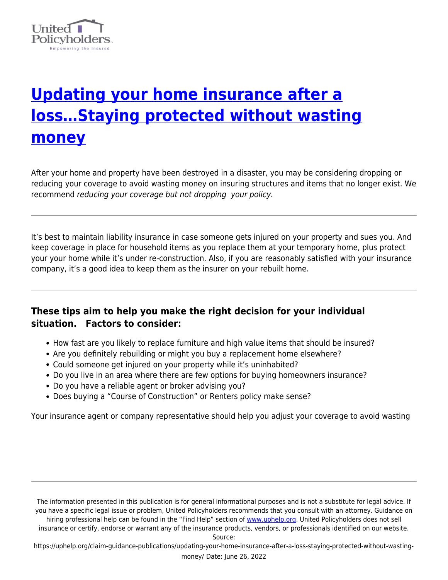

# **[Updating your home insurance after a](https://uphelp.org/claim-guidance-publications/updating-your-home-insurance-after-a-loss-staying-protected-without-wasting-money/) [loss…Staying protected without wasting](https://uphelp.org/claim-guidance-publications/updating-your-home-insurance-after-a-loss-staying-protected-without-wasting-money/) [money](https://uphelp.org/claim-guidance-publications/updating-your-home-insurance-after-a-loss-staying-protected-without-wasting-money/)**

After your home and property have been destroyed in a disaster, you may be considering dropping or reducing your coverage to avoid wasting money on insuring structures and items that no longer exist. We recommend reducing your coverage but not dropping your policy.

It's best to maintain liability insurance in case someone gets injured on your property and sues you. And keep coverage in place for household items as you replace them at your temporary home, plus protect your your home while it's under re-construction. Also, if you are reasonably satisfied with your insurance company, it's a good idea to keep them as the insurer on your rebuilt home.

# **These tips aim to help you make the right decision for your individual situation. Factors to consider:**

- How fast are you likely to replace furniture and high value items that should be insured?
- Are you definitely rebuilding or might you buy a replacement home elsewhere?
- Could someone get injured on your property while it's uninhabited?
- Do you live in an area where there are few options for buying homeowners insurance?
- Do you have a reliable agent or broker advising you?
- Does buying a "Course of Construction" or Renters policy make sense?

Your insurance agent or company representative should help you adjust your coverage to avoid wasting

The information presented in this publication is for general informational purposes and is not a substitute for legal advice. If you have a specific legal issue or problem, United Policyholders recommends that you consult with an attorney. Guidance on hiring professional help can be found in the "Find Help" section of [www.uphelp.org.](http://www.uphelp.org/) United Policyholders does not sell insurance or certify, endorse or warrant any of the insurance products, vendors, or professionals identified on our website.

Source:

https://uphelp.org/claim-guidance-publications/updating-your-home-insurance-after-a-loss-staying-protected-without-wastingmoney/ Date: June 26, 2022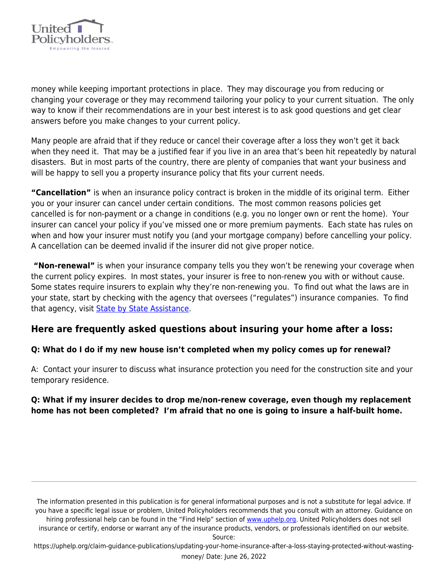

money while keeping important protections in place. They may discourage you from reducing or changing your coverage or they may recommend tailoring your policy to your current situation. The only way to know if their recommendations are in your best interest is to ask good questions and get clear answers before you make changes to your current policy.

Many people are afraid that if they reduce or cancel their coverage after a loss they won't get it back when they need it. That may be a justified fear if you live in an area that's been hit repeatedly by natural disasters. But in most parts of the country, there are plenty of companies that want your business and will be happy to sell you a property insurance policy that fits your current needs.

**"Cancellation"** is when an insurance policy contract is broken in the middle of its original term. Either you or your insurer can cancel under certain conditions. The most common reasons policies get cancelled is for non-payment or a change in conditions (e.g. you no longer own or rent the home). Your insurer can cancel your policy if you've missed one or more premium payments. Each state has rules on when and how your insurer must notify you (and your mortgage company) before cancelling your policy. A cancellation can be deemed invalid if the insurer did not give proper notice.

 **"Non-renewal"** is when your insurance company tells you they won't be renewing your coverage when the current policy expires. In most states, your insurer is free to non-renew you with or without cause. Some states require insurers to explain why they're non-renewing you. To find out what the laws are in your state, start by checking with the agency that oversees ("regulates") insurance companies. To find that agency, visit **[State by State Assistance](https://uphelp.org/recovery/state-by-state-help/)**.

# **Here are frequently asked questions about insuring your home after a loss:**

# **Q: What do I do if my new house isn't completed when my policy comes up for renewal?**

A: Contact your insurer to discuss what insurance protection you need for the construction site and your temporary residence.

# **Q: What if my insurer decides to drop me/non-renew coverage, even though my replacement home has not been completed? I'm afraid that no one is going to insure a half-built home.**

The information presented in this publication is for general informational purposes and is not a substitute for legal advice. If you have a specific legal issue or problem, United Policyholders recommends that you consult with an attorney. Guidance on hiring professional help can be found in the "Find Help" section of [www.uphelp.org.](http://www.uphelp.org/) United Policyholders does not sell insurance or certify, endorse or warrant any of the insurance products, vendors, or professionals identified on our website.

Source:

https://uphelp.org/claim-guidance-publications/updating-your-home-insurance-after-a-loss-staying-protected-without-wastingmoney/ Date: June 26, 2022